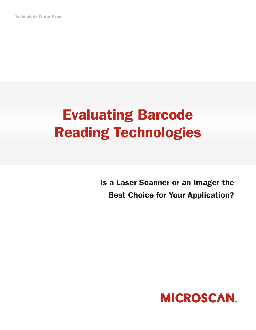Technology White Paper

# Evaluating Barcode Reading Technologies

Is a Laser Scanner or an Imager the Best Choice for Your Application?

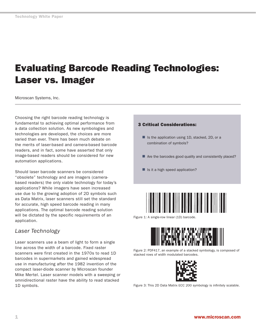# Evaluating Barcode Reading Technologies: Laser vs. Imager

Microscan Systems, Inc.

Choosing the right barcode reading technology is fundamental to achieving optimal performance from a data collection solution. As new symbologies and technologies are developed, the choices are more varied than ever. There has been much debate on the merits of laser-based and camera-based barcode readers, and in fact, some have asserted that only image-based readers should be considered for new automation applications.

Should laser barcode scanners be considered "obsolete" technology and are imagers (camerabased readers) the only viable technology for today's applications? While imagers have seen increased use due to the growing adoption of 2D symbols such as Data Matrix, laser scanners still set the standard for accurate, high speed barcode reading in many applications. The optimal barcode reading solution will be dictated by the specific requirements of an application.

#### *Laser Technology*

Laser scanners use a beam of light to form a single line across the width of a barcode. Fixed raster scanners were first created in the 1970s to read 1D barcodes in supermarkets and gained widespread use in manufacturing after the 1982 invention of the compact laser-diode scanner by Microscan founder Mike Mertel. Laser scanner models with a sweeping or omnidirectional raster have the ability to read stacked 1D symbols.

#### 3 Critical Considerations:

- Is the application using 1D, stacked, 2D, or a combination of symbols?
- Are the barcodes good quality and consistently placed?
- Is it a high speed application?



Figure 1: A single-row linear (1D) barcode.



Figure 2: PDF417, an example of a stacked symbology, is composed of stacked rows of width modulated barcodes.



Figure 3: This 2D Data Matrix ECC 200 symbology is infinitely scalable.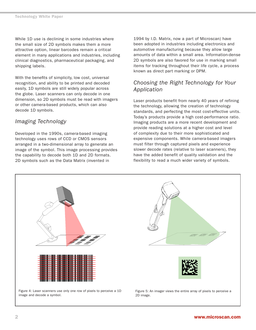While 1D use is declining in some industries where the small size of 2D symbols makes them a more attractive option, linear barcodes remain a critical element in many applications and industries, including clinical diagnostics, pharmaceutical packaging, and shipping labels.

With the benefits of simplicity, low cost, universal recognition, and ability to be printed and decoded easily, 1D symbols are still widely popular across the globe. Laser scanners can only decode in one dimension, so 2D symbols must be read with imagers or other camera-based products, which can also decode 1D symbols.

## *Imaging Technology*

Developed in the 1990s, camera-based imaging technology uses rows of CCD or CMOS sensors arranged in a two-dimensional array to generate an image of the symbol. This image processing provides the capability to decode both 1D and 2D formats. 2D symbols such as the Data Matrix (invented in

1994 by I.D. Matrix, now a part of Microscan) have been adopted in industries including electronics and automotive manufacturing because they allow large amounts of data within a small area. Information-dense 2D symbols are also favored for use in marking small items for tracking throughout their life cycle, a process known as direct part marking or DPM.

### *Choosing the Right Technology for Your Application*

Laser products benefit from nearly 40 years of refining the technology, allowing the creation of technology standards, and perfecting the most cost-effective units. Today's products provide a high cost-performance ratio. Imaging products are a more recent development and provide reading solutions at a higher cost and level of complexity due to their more sophisticated and expensive components. While camera-based imagers must filter through captured pixels and experience slower decode rates (relative to laser scanners), they have the added benefit of quality validation and the flexibility to read a much wider variety of symbols.

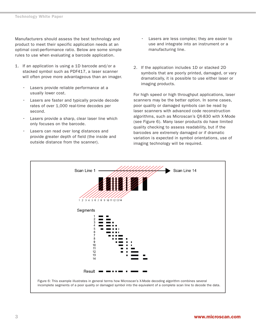Manufacturers should assess the best technology and product to meet their specific application needs at an optimal cost-performance ratio. Below are some simple rules to use when evaluating a barcode application.

- 1. If an application is using a 1D barcode and/or a stacked symbol such as PDF417, a laser scanner will often prove more advantageous than an imager.
	- Lasers provide reliable performance at a usually lower cost.
	- Lasers are faster and typically provide decode rates of over 1,000 real-time decodes per second.
	- Lasers provide a sharp, clear laser line which only focuses on the barcode.
	- Lasers can read over long distances and provide greater depth of field (the inside and outside distance from the scanner).
- Lasers are less complex; they are easier to use and integrate into an instrument or a manufacturing line.
- 2. If the application includes 1D or stacked 2D symbols that are poorly printed, damaged, or vary dramatically, it is possible to use either laser or imaging products.

For high speed or high throughput applications, laser scanners may be the better option. In some cases, poor quality or damaged symbols can be read by laser scanners with advanced code reconstruction algorithms, such as Microscan's QX-830 with X-Mode (see Figure 6). Many laser products do have limited quality checking to assess readability, but if the barcodes are extremely damaged or if dramatic variation is expected in symbol orientations, use of imaging technology will be required.